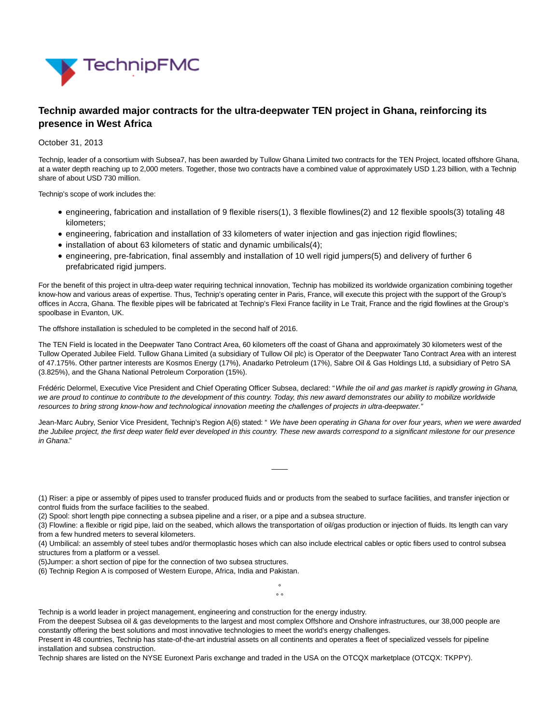

# **Technip awarded major contracts for the ultra-deepwater TEN project in Ghana, reinforcing its presence in West Africa**

### October 31, 2013

Technip, leader of a consortium with Subsea7, has been awarded by Tullow Ghana Limited two contracts for the TEN Project, located offshore Ghana, at a water depth reaching up to 2,000 meters. Together, those two contracts have a combined value of approximately USD 1.23 billion, with a Technip share of about USD 730 million.

Technip's scope of work includes the:

- engineering, fabrication and installation of 9 flexible risers(1), 3 flexible flowlines(2) and 12 flexible spools(3) totaling 48 kilometers;
- engineering, fabrication and installation of 33 kilometers of water injection and gas injection rigid flowlines;
- installation of about 63 kilometers of static and dynamic umbilicals(4);
- engineering, pre-fabrication, final assembly and installation of 10 well rigid jumpers(5) and delivery of further 6 prefabricated rigid jumpers.

For the benefit of this project in ultra-deep water requiring technical innovation, Technip has mobilized its worldwide organization combining together know-how and various areas of expertise. Thus, Technip's operating center in Paris, France, will execute this project with the support of the Group's offices in Accra, Ghana. The flexible pipes will be fabricated at Technip's Flexi France facility in Le Trait, France and the rigid flowlines at the Group's spoolbase in Evanton, UK.

The offshore installation is scheduled to be completed in the second half of 2016.

The TEN Field is located in the Deepwater Tano Contract Area, 60 kilometers off the coast of Ghana and approximately 30 kilometers west of the Tullow Operated Jubilee Field. Tullow Ghana Limited (a subsidiary of Tullow Oil plc) is Operator of the Deepwater Tano Contract Area with an interest of 47.175%. Other partner interests are Kosmos Energy (17%), Anadarko Petroleum (17%), Sabre Oil & Gas Holdings Ltd, a subsidiary of Petro SA (3.825%), and the Ghana National Petroleum Corporation (15%).

Frédéric Delormel, Executive Vice President and Chief Operating Officer Subsea, declared: "While the oil and gas market is rapidly growing in Ghana, we are proud to continue to contribute to the development of this country. Today, this new award demonstrates our ability to mobilize worldwide resources to bring strong know-how and technological innovation meeting the challenges of projects in ultra-deepwater."

Jean-Marc Aubry, Senior Vice President, Technip's Region A(6) stated: "We have been operating in Ghana for over four years, when we were awarded the Jubilee project, the first deep water field ever developed in this country. These new awards correspond to a significant milestone for our presence in Ghana."

 $\overline{\phantom{a}}$ 

(1) Riser: a pipe or assembly of pipes used to transfer produced fluids and or products from the seabed to surface facilities, and transfer injection or control fluids from the surface facilities to the seabed.

(2) Spool: short length pipe connecting a subsea pipeline and a riser, or a pipe and a subsea structure.

(3) Flowline: a flexible or rigid pipe, laid on the seabed, which allows the transportation of oil/gas production or injection of fluids. Its length can vary from a few hundred meters to several kilometers.

(4) Umbilical: an assembly of steel tubes and/or thermoplastic hoses which can also include electrical cables or optic fibers used to control subsea structures from a platform or a vessel.

> °  $\circ$   $\circ$

(5)Jumper: a short section of pipe for the connection of two subsea structures.

(6) Technip Region A is composed of Western Europe, Africa, India and Pakistan.

Technip is a world leader in project management, engineering and construction for the energy industry.

From the deepest Subsea oil & gas developments to the largest and most complex Offshore and Onshore infrastructures, our 38,000 people are constantly offering the best solutions and most innovative technologies to meet the world's energy challenges.

Present in 48 countries, Technip has state-of-the-art industrial assets on all continents and operates a fleet of specialized vessels for pipeline installation and subsea construction.

Technip shares are listed on the NYSE Euronext Paris exchange and traded in the USA on the OTCQX marketplace (OTCQX: TKPPY).